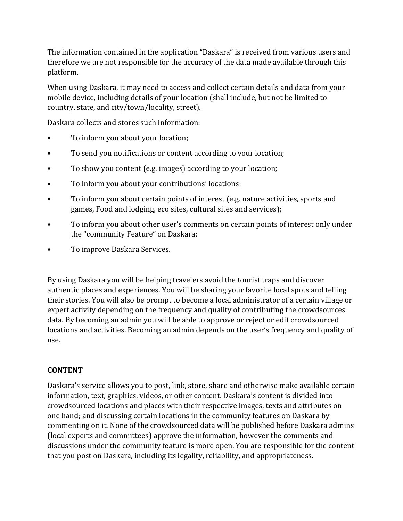The information contained in the application "Daskara" is received from various users and therefore we are not responsible for the accuracy of the data made available through this platform.

When using Daskara, it may need to access and collect certain details and data from your mobile device, including details of your location (shall include, but not be limited to country, state, and city/town/locality, street).

Daskara collects and stores such information:

- To inform you about your location;
- To send you notifications or content according to your location;
- To show you content (e.g. images) according to your location;
- To inform you about your contributions' locations;
- To inform you about certain points of interest (e.g. nature activities, sports and games, Food and lodging, eco sites, cultural sites and services);
- To inform you about other user's comments on certain points of interest only under the "community Feature" on Daskara;
- To improve Daskara Services.

By using Daskara you will be helping travelers avoid the tourist traps and discover authentic places and experiences. You will be sharing your favorite local spots and telling their stories. You will also be prompt to become a local administrator of a certain village or expert activity depending on the frequency and quality of contributing the crowdsources data. By becoming an admin you will be able to approve or reject or edit crowdsourced locations and activities. Becoming an admin depends on the user's frequency and quality of use.

### **CONTENT**

Daskara's service allows you to post, link, store, share and otherwise make available certain information, text, graphics, videos, or other content. Daskara's content is divided into crowdsourced locations and places with their respective images, texts and attributes on one hand; and discussing certain locations in the community features on Daskara by commenting on it. None of the crowdsourced data will be published before Daskara admins (local experts and committees) approve the information, however the comments and discussions under the community feature is more open. You are responsible for the content that you post on Daskara, including its legality, reliability, and appropriateness.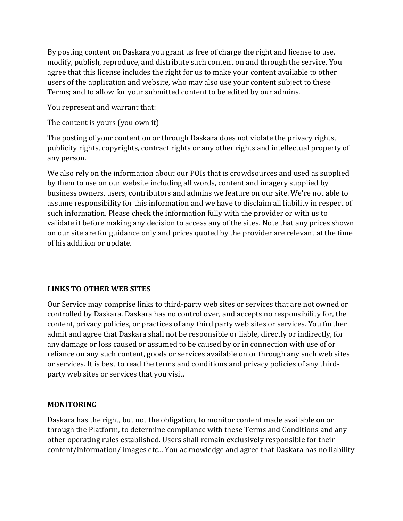By posting content on Daskara you grant us free of charge the right and license to use, modify, publish, reproduce, and distribute such content on and through the service. You agree that this license includes the right for us to make your content available to other users of the application and website, who may also use your content subject to these Terms; and to allow for your submitted content to be edited by our admins.

You represent and warrant that:

The content is yours (you own it)

The posting of your content on or through Daskara does not violate the privacy rights, publicity rights, copyrights, contract rights or any other rights and intellectual property of any person.

We also rely on the information about our POIs that is crowdsources and used as supplied by them to use on our website including all words, content and imagery supplied by business owners, users, contributors and admins we feature on our site. We're not able to assume responsibility for this information and we have to disclaim all liability in respect of such information. Please check the information fully with the provider or with us to validate it before making any decision to access any of the sites. Note that any prices shown on our site are for guidance only and prices quoted by the provider are relevant at the time of his addition or update.

## **LINKS TO OTHER WEB SITES**

Our Service may comprise links to third-party web sites or services that are not owned or controlled by Daskara. Daskara has no control over, and accepts no responsibility for, the content, privacy policies, or practices of any third party web sites or services. You further admit and agree that Daskara shall not be responsible or liable, directly or indirectly, for any damage or loss caused or assumed to be caused by or in connection with use of or reliance on any such content, goods or services available on or through any such web sites or services. It is best to read the terms and conditions and privacy policies of any thirdparty web sites or services that you visit.

## **MONITORING**

Daskara has the right, but not the obligation, to monitor content made available on or through the Platform, to determine compliance with these Terms and Conditions and any other operating rules established. Users shall remain exclusively responsible for their content/information/ images etc... You acknowledge and agree that Daskara has no liability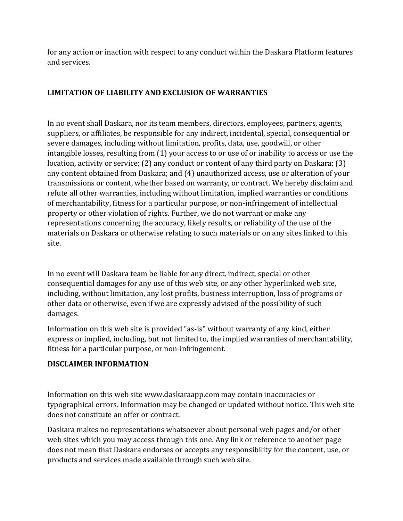for any action or inaction with respect to any conduct within the Daskara Platform features and services.

# **LIMITATION OF LIABILITY AND EXCLUSION OF WARRANTIES**

In no event shall Daskara, nor its team members, directors, employees, partners, agents, suppliers, or affiliates, be responsible for any indirect, incidental, special, consequential or severe damages, including without limitation, profits, data, use, goodwill, or other intangible losses, resulting from (1) your access to or use of or inability to access or use the location, activity or service; (2) any conduct or content of any third party on Daskara; (3) any content obtained from Daskara; and (4) unauthorized access, use or alteration of your transmissions or content, whether based on warranty, or contract. We hereby disclaim and refute all other warranties, including without limitation, implied warranties or conditions of merchantability, fitness for a particular purpose, or non-infringement of intellectual property or other violation of rights. Further, we do not warrant or make any representations concerning the accuracy, likely results, or reliability of the use of the materials on Daskara or otherwise relating to such materials or on any sites linked to this site.

In no event will Daskara team be liable for any direct, indirect, special or other consequential damages for any use of this web site, or any other hyperlinked web site, including, without limitation, any lost profits, business interruption, loss of programs or other data or otherwise, even if we are expressly advised of the possibility of such damages.

Information on this web site is provided "as-is" without warranty of any kind, either express or implied, including, but not limited to, the implied warranties of merchantability, fitness for a particular purpose, or non-infringement.

## **DISCLAIMER INFORMATION**

Information on this web site www.daskaraapp.com may contain inaccuracies or typographical errors. Information may be changed or updated without notice. This web site does not constitute an offer or contract.

Daskara makes no representations whatsoever about personal web pages and/or other web sites which you may access through this one. Any link or reference to another page does not mean that Daskara endorses or accepts any responsibility for the content, use, or products and services made available through such web site.